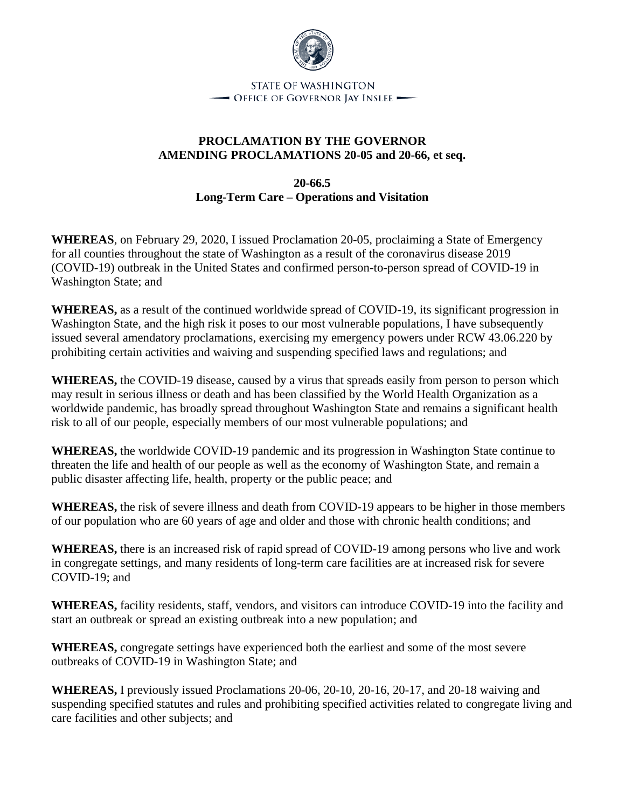

## **PROCLAMATION BY THE GOVERNOR AMENDING PROCLAMATIONS 20-05 and 20-66, et seq.**

**20-66.5 Long-Term Care – Operations and Visitation**

**WHEREAS**, on February 29, 2020, I issued Proclamation 20-05, proclaiming a State of Emergency for all counties throughout the state of Washington as a result of the coronavirus disease 2019 (COVID-19) outbreak in the United States and confirmed person-to-person spread of COVID-19 in Washington State; and

**WHEREAS,** as a result of the continued worldwide spread of COVID-19, its significant progression in Washington State, and the high risk it poses to our most vulnerable populations, I have subsequently issued several amendatory proclamations, exercising my emergency powers under RCW 43.06.220 by prohibiting certain activities and waiving and suspending specified laws and regulations; and

**WHEREAS,** the COVID-19 disease, caused by a virus that spreads easily from person to person which may result in serious illness or death and has been classified by the World Health Organization as a worldwide pandemic, has broadly spread throughout Washington State and remains a significant health risk to all of our people, especially members of our most vulnerable populations; and

**WHEREAS,** the worldwide COVID-19 pandemic and its progression in Washington State continue to threaten the life and health of our people as well as the economy of Washington State, and remain a public disaster affecting life, health, property or the public peace; and

**WHEREAS,** the risk of severe illness and death from COVID-19 appears to be higher in those members of our population who are 60 years of age and older and those with chronic health conditions; and

**WHEREAS,** there is an increased risk of rapid spread of COVID-19 among persons who live and work in congregate settings, and many residents of long-term care facilities are at increased risk for severe COVID-19; and

**WHEREAS,** facility residents, staff, vendors, and visitors can introduce COVID-19 into the facility and start an outbreak or spread an existing outbreak into a new population; and

**WHEREAS,** congregate settings have experienced both the earliest and some of the most severe outbreaks of COVID-19 in Washington State; and

**WHEREAS,** I previously issued Proclamations 20-06, 20-10, 20-16, 20-17, and 20-18 waiving and suspending specified statutes and rules and prohibiting specified activities related to congregate living and care facilities and other subjects; and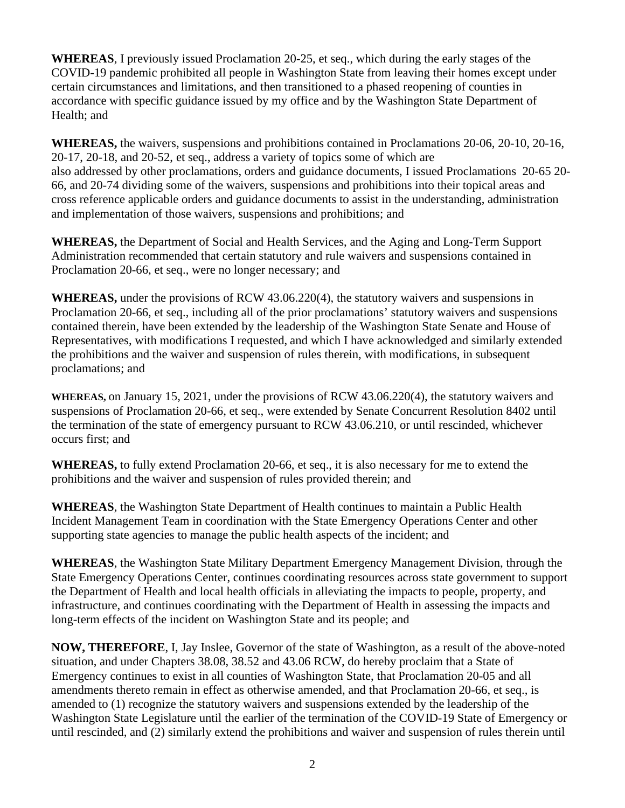**WHEREAS**, I previously issued Proclamation 20-25, et seq., which during the early stages of the COVID-19 pandemic prohibited all people in Washington State from leaving their homes except under certain circumstances and limitations, and then transitioned to a phased reopening of counties in accordance with specific guidance issued by my office and by the Washington State Department of Health; and

**WHEREAS,** the waivers, suspensions and prohibitions contained in Proclamations 20-06, 20-10, 20-16, 20-17, 20-18, and 20-52, et seq., address a variety of topics some of which are also addressed by other proclamations, orders and guidance documents, I issued Proclamations 20-65 20- 66, and 20-74 dividing some of the waivers, suspensions and prohibitions into their topical areas and cross reference applicable orders and guidance documents to assist in the understanding, administration and implementation of those waivers, suspensions and prohibitions; and

**WHEREAS,** the Department of Social and Health Services, and the Aging and Long-Term Support Administration recommended that certain statutory and rule waivers and suspensions contained in Proclamation 20-66, et seq., were no longer necessary; and

**WHEREAS,** under the provisions of RCW 43.06.220(4), the statutory waivers and suspensions in Proclamation 20-66, et seq., including all of the prior proclamations' statutory waivers and suspensions contained therein, have been extended by the leadership of the Washington State Senate and House of Representatives, with modifications I requested, and which I have acknowledged and similarly extended the prohibitions and the waiver and suspension of rules therein, with modifications, in subsequent proclamations; and

**WHEREAS,** on January 15, 2021, under the provisions of RCW 43.06.220(4), the statutory waivers and suspensions of Proclamation 20-66, et seq., were extended by Senate Concurrent Resolution 8402 until the termination of the state of emergency pursuant to RCW 43.06.210, or until rescinded, whichever occurs first; and

**WHEREAS,** to fully extend Proclamation 20-66, et seq., it is also necessary for me to extend the prohibitions and the waiver and suspension of rules provided therein; and

**WHEREAS**, the Washington State Department of Health continues to maintain a Public Health Incident Management Team in coordination with the State Emergency Operations Center and other supporting state agencies to manage the public health aspects of the incident; and

**WHEREAS**, the Washington State Military Department Emergency Management Division, through the State Emergency Operations Center, continues coordinating resources across state government to support the Department of Health and local health officials in alleviating the impacts to people, property, and infrastructure, and continues coordinating with the Department of Health in assessing the impacts and long-term effects of the incident on Washington State and its people; and

**NOW, THEREFORE**, I, Jay Inslee, Governor of the state of Washington, as a result of the above-noted situation, and under Chapters 38.08, 38.52 and 43.06 RCW, do hereby proclaim that a State of Emergency continues to exist in all counties of Washington State, that Proclamation 20-05 and all amendments thereto remain in effect as otherwise amended, and that Proclamation 20-66, et seq., is amended to (1) recognize the statutory waivers and suspensions extended by the leadership of the Washington State Legislature until the earlier of the termination of the COVID-19 State of Emergency or until rescinded, and (2) similarly extend the prohibitions and waiver and suspension of rules therein until